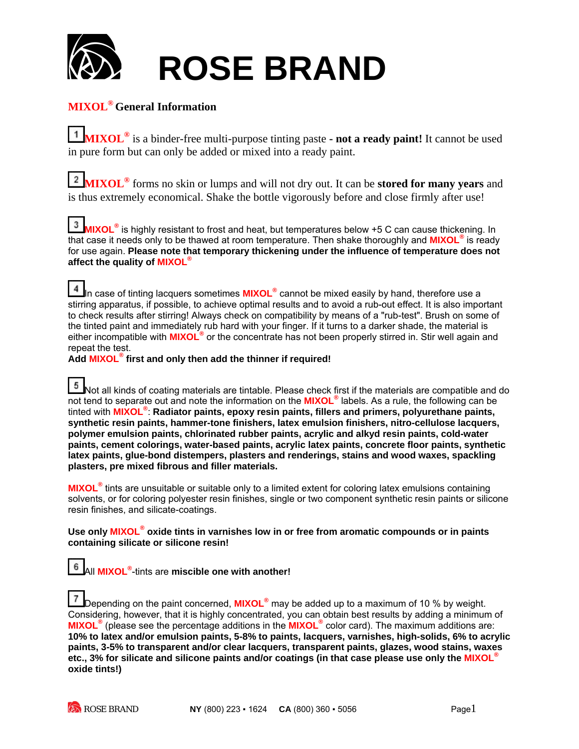

## **MIXOL® General Information**

**MIXOL®** is a binder-free multi-purpose tinting paste **- not a ready paint!** It cannot be used in pure form but can only be added or mixed into a ready paint.

**MIXOL®** forms no skin or lumps and will not dry out. It can be **stored for many years** and is thus extremely economical. Shake the bottle vigorously before and close firmly after use!

 $3<sub>1</sub>$ **MIXOL®** is highly resistant to frost and heat, but temperatures below +5 C can cause thickening. In that case it needs only to be thawed at room temperature. Then shake thoroughly and **MIXOL®** is ready for use again. **Please note that temporary thickening under the influence of temperature does not affect the quality of MIXOL®**

4 In case of tinting lacquers sometimes **MIXOL<sup>®</sup> cannot be mixed easily by hand, therefore use a** stirring apparatus, if possible, to achieve optimal results and to avoid a rub-out effect. It is also important to check results after stirring! Always check on compatibility by means of a "rub-test". Brush on some of the tinted paint and immediately rub hard with your finger. If it turns to a darker shade, the material is either incompatible with **MIXOL®** or the concentrate has not been properly stirred in. Stir well again and repeat the test.

**Add MIXOL® first and only then add the thinner if required!**

5 Not all kinds of coating materials are tintable. Please check first if the materials are compatible and do not tend to separate out and note the information on the **MIXOL®** labels. As a rule, the following can be tinted with **MIXOL®** : **Radiator paints, epoxy resin paints, fillers and primers, polyurethane paints, synthetic resin paints, hammer-tone finishers, latex emulsion finishers, nitro-cellulose lacquers, polymer emulsion paints, chlorinated rubber paints, acrylic and alkyd resin paints, cold-water paints, cement colorings, water-based paints, acrylic latex paints, concrete floor paints, synthetic latex paints, glue-bond distempers, plasters and renderings, stains and wood waxes, spackling plasters, pre mixed fibrous and filler materials.**

**MIXOL®** tints are unsuitable or suitable only to a limited extent for coloring latex emulsions containing solvents, or for coloring polyester resin finishes, single or two component synthetic resin paints or silicone resin finishes, and silicate-coatings.

Use only MIXOL<sup>®</sup> oxide tints in varnishes low in or free from aromatic compounds or in paints **containing silicate or silicone resin!** 

All **MIXOL®** -tints are **miscible one with another!**

Depending on the paint concerned, **MIXOL®** may be added up to a maximum of 10 % by weight. Considering, however, that it is highly concentrated, you can obtain best results by adding a minimum of **MIXOL®** (please see the percentage additions in the **MIXOL®** color card). The maximum additions are: **10% to latex and/or emulsion paints, 5-8% to paints, lacquers, varnishes, high-solids, 6% to acrylic paints, 3-5% to transparent and/or clear lacquers, transparent paints, glazes, wood stains, waxes etc., 3% for silicate and silicone paints and/or coatings (in that case please use only the MIXOL® oxide tints!)**